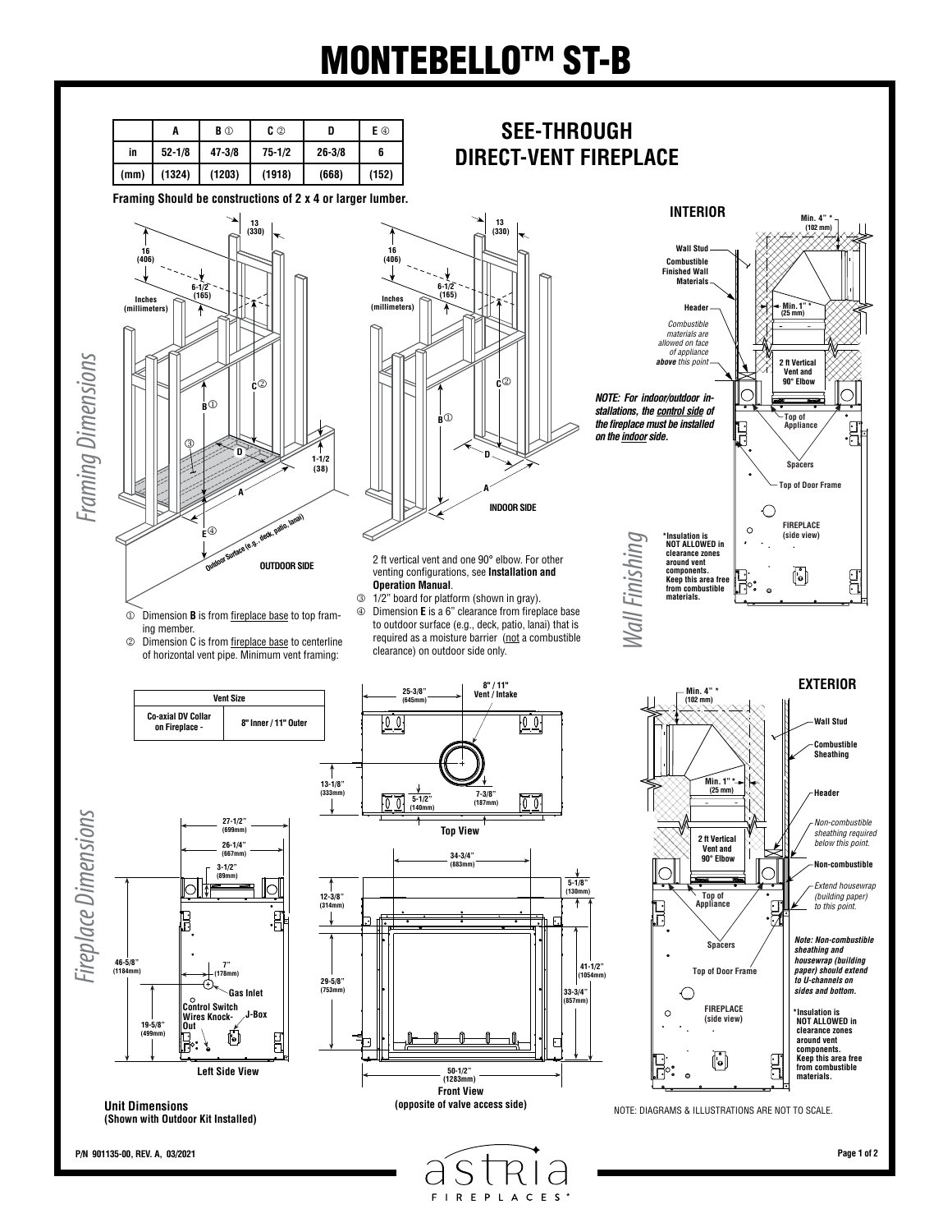## MONTEBELLO™ ST-B

**SEE-THROUGH DIRECT-VENT FIREPLACE**

|      | A          | <b>B</b> ① | C ②        |            | E ①   |
|------|------------|------------|------------|------------|-------|
| in   | $52 - 1/8$ | $47 - 3/8$ | $75 - 1/2$ | $26 - 3/8$ | 6     |
| (mm) | (1324)     | (1203)     | (1918)     | (668)      | (152) |

**Framing Should be constructions of 2 x 4 or larger lumber.**





2 ft vertical vent and one 90° elbow. For other venting configurations, see **Installation and Operation Manual**.

 Dimension **B** is from fireplace base to top framing member.

 Dimension C is from fireplace base to centerline of horizontal vent pipe. Minimum vent framing:

**Vent Size**

**on Fireplace - 8" Inner / 11" Outer**

**Co-axial DV Collar** 

 1/2" board for platform (shown in gray). Dimension **E** is a 6" clearance from fireplace base to outdoor surface (e.g., deck, patio, lanai) that is required as a moisture barrier (not a combustible clearance) on outdoor side only.

**Vent / Intake**

 $\overline{\Xi}$ 

ान

**25-3/8" (645mm)**

 $\sqrt{2}$ 



**INTERIOR**

**Min. 4" \***

**Keep this area free from combustible materials.**

**components.** 





**50-1/2" (1283mm)**

**Front View**

**34-3/4" (883mm)**

**Top View**